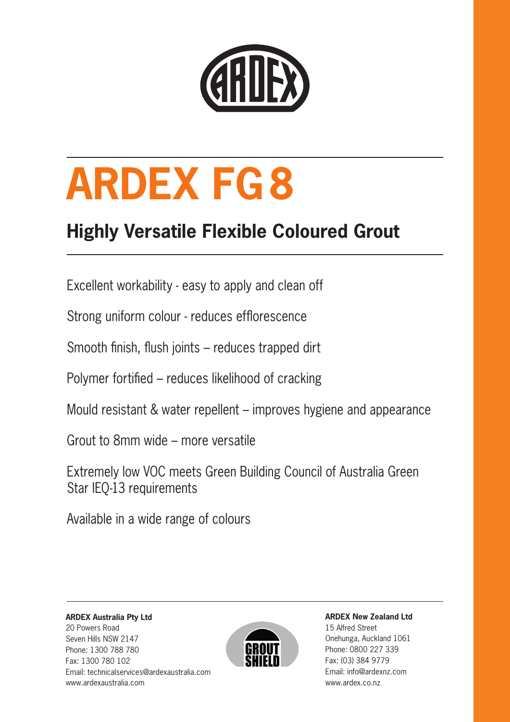

# **ARDEX FG8**

## **Highly Versatile Flexible Coloured Grout**

Excellent workability - easy to apply and clean off

Strong uniform colour - reduces efflorescence

Smooth finish, flush joints – reduces trapped dirt

Polymer fortified – reduces likelihood of cracking

Mould resistant & water repellent – improves hygiene and appearance

Grout to 8mm wide – more versatile

Extremely low VOC meets Green Building Council of Australia Green Star IEQ-13 requirements

Available in a wide range of colours

**ARDEX Australia Pty Ltd** 20 Powers Road Seven Hills NSW 2147 Phone: 1300 788 780 Fax: 1300 780 102 Email: technicalservices@ardexaustralia.com www.ardexaustralia.com



**ARDEX New Zealand Ltd** 15 Alfred Street Onehunga, Auckland 1061 Phone: 0800 227 339 Fax: (03) 384 9779 Email: info@ardexnz.com www.ardex.co.nz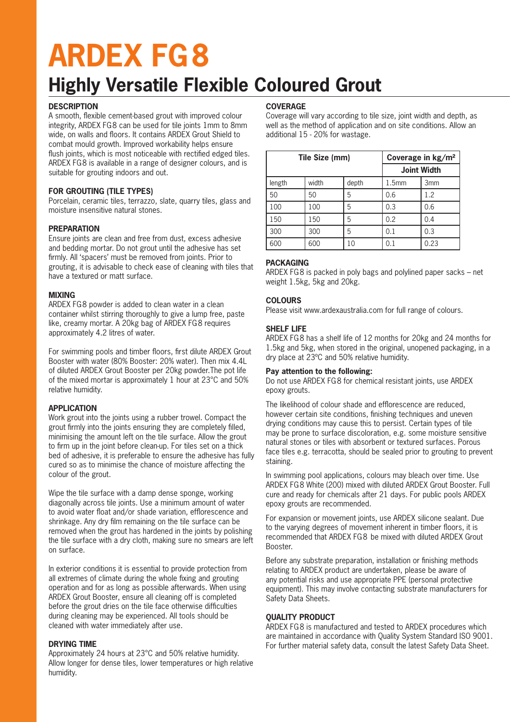## **ARDEX FG8**

### **Highly Versatile Flexible Coloured Grout**

#### **DESCRIPTION**

A smooth, flexible cement-based grout with improved colour integrity, ARDEX FG8 can be used for tile joints 1mm to 8mm wide, on walls and floors. It contains ARDEX Grout Shield to combat mould growth. Improved workability helps ensure flush joints, which is most noticeable with rectified edged tiles. ARDEX FG8 is available in a range of designer colours, and is suitable for grouting indoors and out.

#### **FOR GROUTING (TILE TYPES)**

Porcelain, ceramic tiles, terrazzo, slate, quarry tiles, glass and moisture insensitive natural stones.

#### **PREPARATION**

Ensure joints are clean and free from dust, excess adhesive and bedding mortar. Do not grout until the adhesive has set firmly. All 'spacers' must be removed from joints. Prior to grouting, it is advisable to check ease of cleaning with tiles that have a textured or matt surface.

#### **MIXING**

ARDEX FG8 powder is added to clean water in a clean container whilst stirring thoroughly to give a lump free, paste like, creamy mortar. A 20kg bag of ARDEX FG8 requires approximately 4.2 litres of water.

For swimming pools and timber floors, first dilute ARDEX Grout Booster with water (80% Booster: 20% water). Then mix 4.4L of diluted ARDEX Grout Booster per 20kg powder.The pot life of the mixed mortar is approximately 1 hour at 23°C and 50% relative humidity.

#### **APPLICATION**

Work grout into the joints using a rubber trowel. Compact the grout firmly into the joints ensuring they are completely filled, minimising the amount left on the tile surface. Allow the grout to firm up in the joint before clean-up. For tiles set on a thick bed of adhesive, it is preferable to ensure the adhesive has fully cured so as to minimise the chance of moisture affecting the colour of the grout.

Wipe the tile surface with a damp dense sponge, working diagonally across tile joints. Use a minimum amount of water to avoid water float and/or shade variation, efflorescence and shrinkage. Any dry film remaining on the tile surface can be removed when the grout has hardened in the joints by polishing the tile surface with a dry cloth, making sure no smears are left on surface.

In exterior conditions it is essential to provide protection from all extremes of climate during the whole fixing and grouting operation and for as long as possible afterwards. When using ARDEX Grout Booster, ensure all cleaning off is completed before the grout dries on the tile face otherwise difficulties during cleaning may be experienced. All tools should be cleaned with water immediately after use.

#### **DRYING TIME**

Approximately 24 hours at 23°C and 50% relative humidity. Allow longer for dense tiles, lower temperatures or high relative humidity.

#### **COVERAGE**

Coverage will vary according to tile size, joint width and depth, as well as the method of application and on site conditions. Allow an additional 15 - 20% for wastage.

| Tile Size (mm) |       |       | Coverage in kg/m <sup>2</sup> |                 |
|----------------|-------|-------|-------------------------------|-----------------|
|                |       |       | <b>Joint Width</b>            |                 |
| length         | width | depth | 1.5 <sub>mm</sub>             | 3 <sub>mm</sub> |
| 50             | 50    | 5     | 0.6                           | 1.2             |
| 100            | 100   | 5     | 0.3                           | 0.6             |
| 150            | 150   | 5     | 0.2                           | 0.4             |
| 300            | 300   | 5     | 0.1                           | 0.3             |
| 600            | 600   | 10    | 0.1                           | 0.23            |

#### **PACKAGING**

ARDEX FG8 is packed in poly bags and polylined paper sacks – net weight 1.5kg, 5kg and 20kg.

#### **COLOURS**

Please visit www.ardexaustralia.com for full range of colours.

#### **SHELF LIFE**

ARDEX FG8 has a shelf life of 12 months for 20kg and 24 months for 1.5kg and 5kg, when stored in the original, unopened packaging, in a dry place at 23ºC and 50% relative humidity.

#### **Pay attention to the following:**

Do not use ARDEX FG8 for chemical resistant joints, use ARDEX epoxy grouts.

The likelihood of colour shade and efflorescence are reduced, however certain site conditions, finishing techniques and uneven drying conditions may cause this to persist. Certain types of tile may be prone to surface discoloration, e.g. some moisture sensitive natural stones or tiles with absorbent or textured surfaces. Porous face tiles e.g. terracotta, should be sealed prior to grouting to prevent staining.

In swimming pool applications, colours may bleach over time. Use ARDEX FG8 White (200) mixed with diluted ARDEX Grout Booster. Full cure and ready for chemicals after 21 days. For public pools ARDEX epoxy grouts are recommended.

For expansion or movement joints, use ARDEX silicone sealant. Due to the varying degrees of movement inherent in timber floors, it is recommended that ARDEX FG8 be mixed with diluted ARDEX Grout Booster.

Before any substrate preparation, installation or finishing methods relating to ARDEX product are undertaken, please be aware of any potential risks and use appropriate PPE (personal protective equipment). This may involve contacting substrate manufacturers for Safety Data Sheets.

#### **QUALITY PRODUCT**

ARDEX FG8 is manufactured and tested to ARDEX procedures which are maintained in accordance with Quality System Standard ISO 9001. For further material safety data, consult the latest Safety Data Sheet.